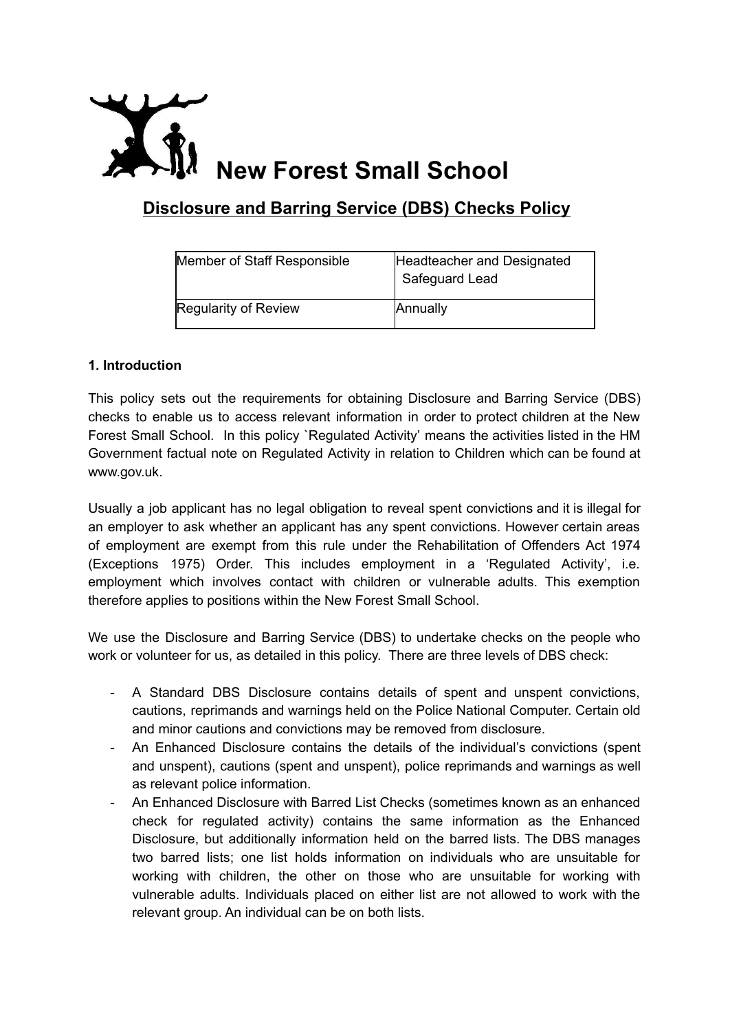

# **Disclosure and Barring Service (DBS) Checks Policy**

| Member of Staff Responsible | Headteacher and Designated<br>Safeguard Lead |
|-----------------------------|----------------------------------------------|
| Regularity of Review        | Annually                                     |

# **1. Introduction**

This policy sets out the requirements for obtaining Disclosure and Barring Service (DBS) checks to enable us to access relevant information in order to protect children at the New Forest Small School. In this policy `Regulated Activity' means the activities listed in the HM Government factual note on Regulated Activity in relation to Children which can be found at www.gov.uk.

Usually a job applicant has no legal obligation to reveal spent convictions and it is illegal for an employer to ask whether an applicant has any spent convictions. However certain areas of employment are exempt from this rule under the Rehabilitation of Offenders Act 1974 (Exceptions 1975) Order. This includes employment in a 'Regulated Activity', i.e. employment which involves contact with children or vulnerable adults. This exemption therefore applies to positions within the New Forest Small School.

We use the Disclosure and Barring Service (DBS) to undertake checks on the people who work or volunteer for us, as detailed in this policy. There are three levels of DBS check:

- A Standard DBS Disclosure contains details of spent and unspent convictions, cautions, reprimands and warnings held on the Police National Computer. Certain old and minor cautions and convictions may be removed from disclosure.
- An Enhanced Disclosure contains the details of the individual's convictions (spent and unspent), cautions (spent and unspent), police reprimands and warnings as well as relevant police information.
- An Enhanced Disclosure with Barred List Checks (sometimes known as an enhanced check for regulated activity) contains the same information as the Enhanced Disclosure, but additionally information held on the barred lists. The DBS manages two barred lists; one list holds information on individuals who are unsuitable for working with children, the other on those who are unsuitable for working with vulnerable adults. Individuals placed on either list are not allowed to work with the relevant group. An individual can be on both lists.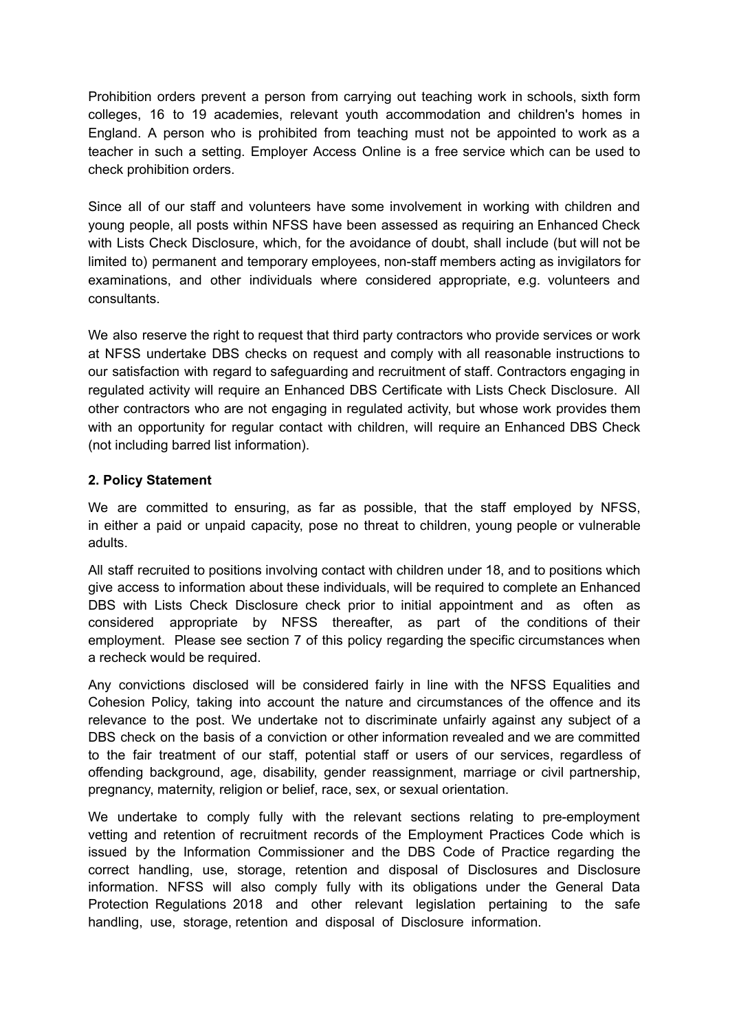Prohibition orders prevent a person from carrying out teaching work in schools, sixth form colleges, 16 to 19 academies, relevant youth accommodation and children's homes in England. A person who is prohibited from teaching must not be appointed to work as a teacher in such a setting. Employer Access Online is a free service which can be used to check prohibition orders.

Since all of our staff and volunteers have some involvement in working with children and young people, all posts within NFSS have been assessed as requiring an Enhanced Check with Lists Check Disclosure, which, for the avoidance of doubt, shall include (but will not be limited to) permanent and temporary employees, non-staff members acting as invigilators for examinations, and other individuals where considered appropriate, e.g. volunteers and consultants.

We also reserve the right to request that third party contractors who provide services or work at NFSS undertake DBS checks on request and comply with all reasonable instructions to our satisfaction with regard to safeguarding and recruitment of staff. Contractors engaging in regulated activity will require an Enhanced DBS Certificate with Lists Check Disclosure. All other contractors who are not engaging in regulated activity, but whose work provides them with an opportunity for regular contact with children, will require an Enhanced DBS Check (not including barred list information).

# **2. Policy Statement**

We are committed to ensuring, as far as possible, that the staff employed by NFSS, in either a paid or unpaid capacity, pose no threat to children, young people or vulnerable adults.

All staff recruited to positions involving contact with children under 18, and to positions which give access to information about these individuals, will be required to complete an Enhanced DBS with Lists Check Disclosure check prior to initial appointment and as often as considered appropriate by NFSS thereafter, as part of the conditions of their employment. Please see section 7 of this policy regarding the specific circumstances when a recheck would be required.

Any convictions disclosed will be considered fairly in line with the NFSS Equalities and Cohesion Policy, taking into account the nature and circumstances of the offence and its relevance to the post. We undertake not to discriminate unfairly against any subject of a DBS check on the basis of a conviction or other information revealed and we are committed to the fair treatment of our staff, potential staff or users of our services, regardless of offending background, age, disability, gender reassignment, marriage or civil partnership, pregnancy, maternity, religion or belief, race, sex, or sexual orientation.

We undertake to comply fully with the relevant sections relating to pre-employment vetting and retention of recruitment records of the Employment Practices Code which is issued by the Information Commissioner and the DBS Code of Practice regarding the correct handling, use, storage, retention and disposal of Disclosures and Disclosure information. NFSS will also comply fully with its obligations under the General Data Protection Regulations 2018 and other relevant legislation pertaining to the safe handling, use, storage, retention and disposal of Disclosure information.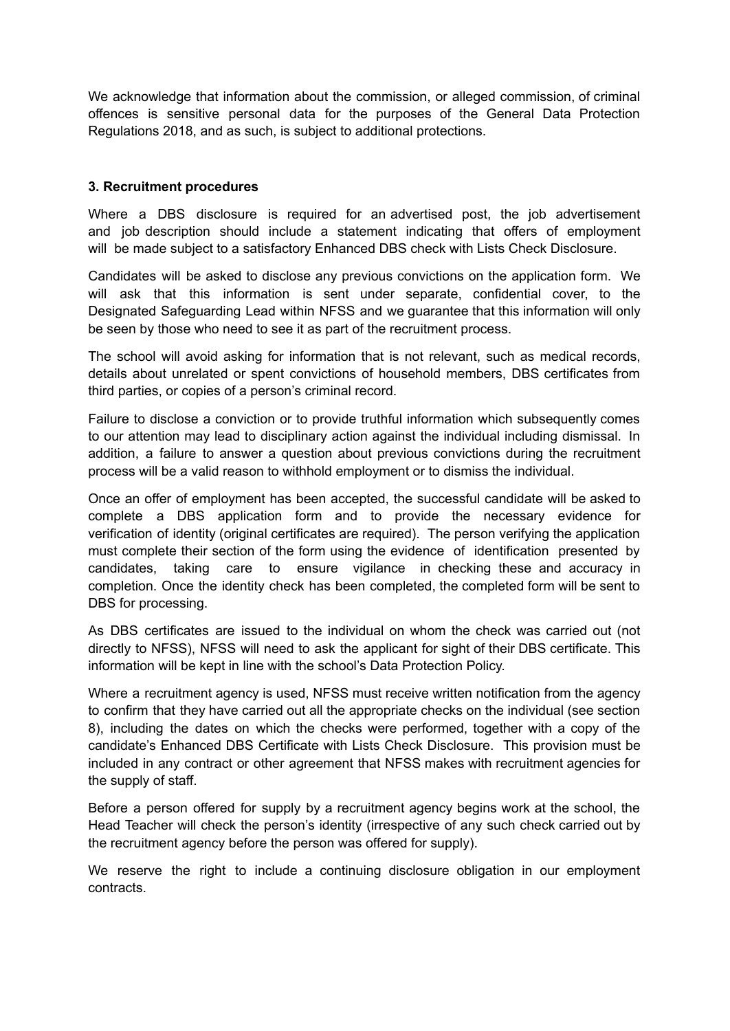We acknowledge that information about the commission, or alleged commission, of criminal offences is sensitive personal data for the purposes of the General Data Protection Regulations 2018, and as such, is subject to additional protections.

## **3. Recruitment procedures**

Where a DBS disclosure is required for an advertised post, the job advertisement and job description should include a statement indicating that offers of employment will be made subject to a satisfactory Enhanced DBS check with Lists Check Disclosure.

Candidates will be asked to disclose any previous convictions on the application form. We will ask that this information is sent under separate, confidential cover, to the Designated Safeguarding Lead within NFSS and we guarantee that this information will only be seen by those who need to see it as part of the recruitment process.

The school will avoid asking for information that is not relevant, such as medical records, details about unrelated or spent convictions of household members, DBS certificates from third parties, or copies of a person's criminal record.

Failure to disclose a conviction or to provide truthful information which subsequently comes to our attention may lead to disciplinary action against the individual including dismissal. In addition, a failure to answer a question about previous convictions during the recruitment process will be a valid reason to withhold employment or to dismiss the individual.

Once an offer of employment has been accepted, the successful candidate will be asked to complete a DBS application form and to provide the necessary evidence for verification of identity (original certificates are required). The person verifying the application must complete their section of the form using the evidence of identification presented by candidates, taking care to ensure vigilance in checking these and accuracy in completion. Once the identity check has been completed, the completed form will be sent to DBS for processing.

As DBS certificates are issued to the individual on whom the check was carried out (not directly to NFSS), NFSS will need to ask the applicant for sight of their DBS certificate. This information will be kept in line with the school's Data Protection Policy.

Where a recruitment agency is used, NFSS must receive written notification from the agency to confirm that they have carried out all the appropriate checks on the individual (see section 8), including the dates on which the checks were performed, together with a copy of the candidate's Enhanced DBS Certificate with Lists Check Disclosure. This provision must be included in any contract or other agreement that NFSS makes with recruitment agencies for the supply of staff.

Before a person offered for supply by a recruitment agency begins work at the school, the Head Teacher will check the person's identity (irrespective of any such check carried out by the recruitment agency before the person was offered for supply).

We reserve the right to include a continuing disclosure obligation in our employment contracts.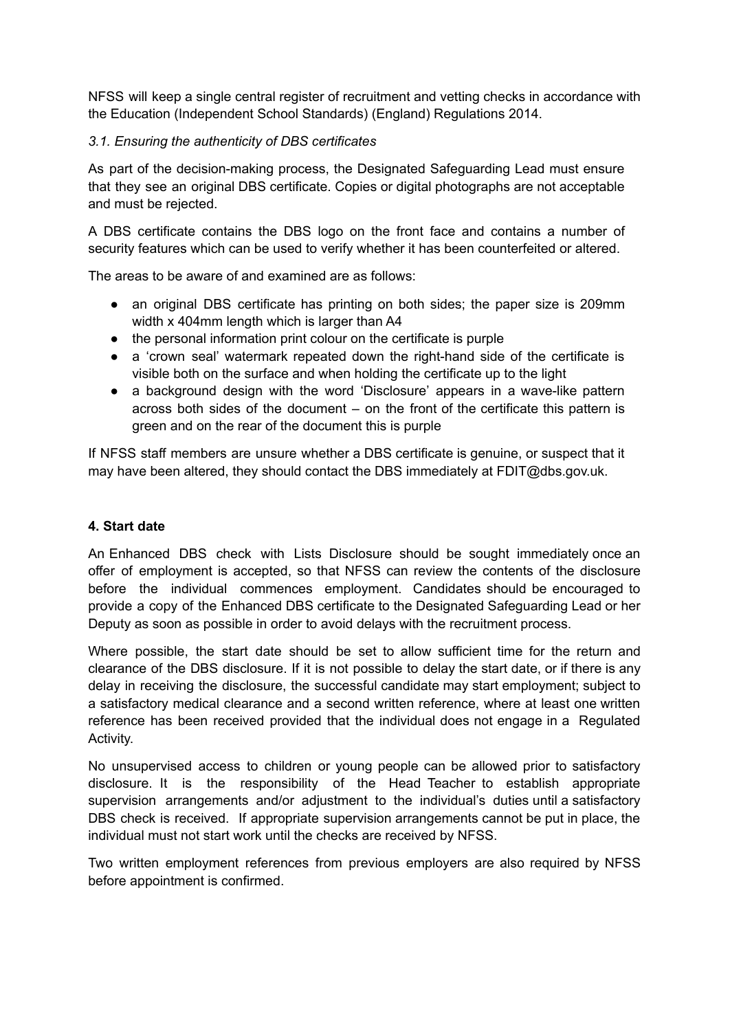NFSS will keep a single central register of recruitment and vetting checks in accordance with the Education (Independent School Standards) (England) Regulations 2014.

# *3.1. Ensuring the authenticity of DBS certificates*

As part of the decision-making process, the Designated Safeguarding Lead must ensure that they see an original DBS certificate. Copies or digital photographs are not acceptable and must be rejected.

A DBS certificate contains the DBS logo on the front face and contains a number of security features which can be used to verify whether it has been counterfeited or altered.

The areas to be aware of and examined are as follows:

- an original DBS certificate has printing on both sides; the paper size is 209mm width x 404mm length which is larger than A4
- the personal information print colour on the certificate is purple
- a 'crown seal' watermark repeated down the right-hand side of the certificate is visible both on the surface and when holding the certificate up to the light
- a background design with the word 'Disclosure' appears in a wave-like pattern across both sides of the document – on the front of the certificate this pattern is green and on the rear of the document this is purple

If NFSS staff members are unsure whether a DBS certificate is genuine, or suspect that it may have been altered, they should contact the DBS immediately at FDIT@dbs.gov.uk.

## **4. Start date**

An Enhanced DBS check with Lists Disclosure should be sought immediately once an offer of employment is accepted, so that NFSS can review the contents of the disclosure before the individual commences employment. Candidates should be encouraged to provide a copy of the Enhanced DBS certificate to the Designated Safeguarding Lead or her Deputy as soon as possible in order to avoid delays with the recruitment process.

Where possible, the start date should be set to allow sufficient time for the return and clearance of the DBS disclosure. If it is not possible to delay the start date, or if there is any delay in receiving the disclosure, the successful candidate may start employment; subject to a satisfactory medical clearance and a second written reference, where at least one written reference has been received provided that the individual does not engage in a Regulated Activity.

No unsupervised access to children or young people can be allowed prior to satisfactory disclosure. It is the responsibility of the Head Teacher to establish appropriate supervision arrangements and/or adjustment to the individual's duties until a satisfactory DBS check is received. If appropriate supervision arrangements cannot be put in place, the individual must not start work until the checks are received by NFSS.

Two written employment references from previous employers are also required by NFSS before appointment is confirmed.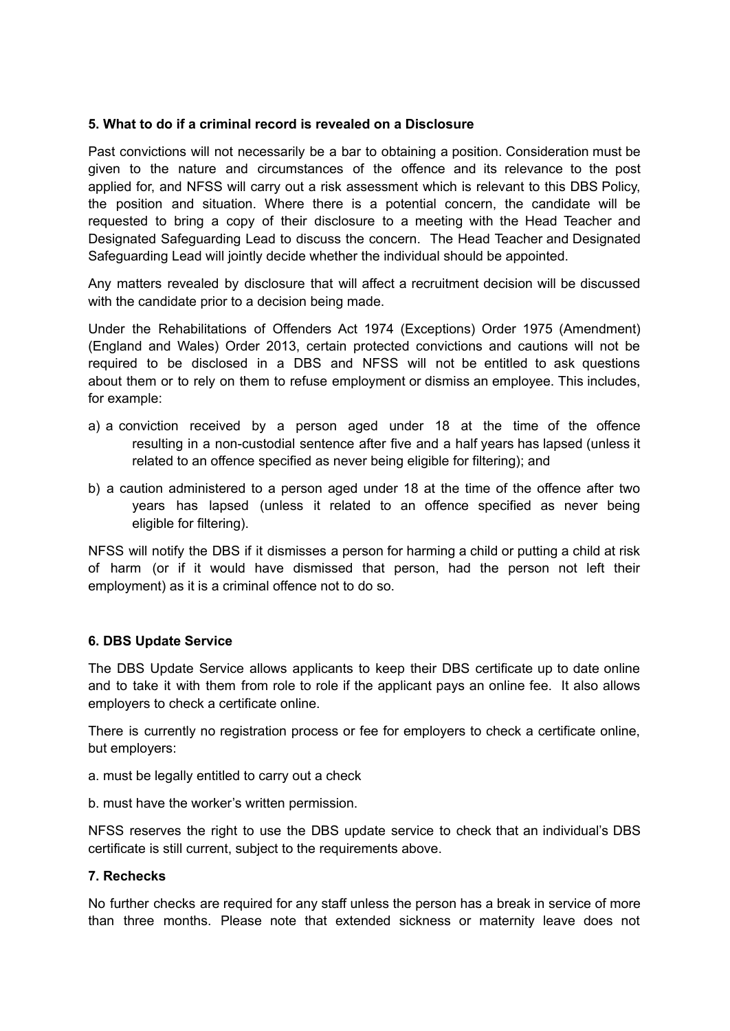## **5. What to do if a criminal record is revealed on a Disclosure**

Past convictions will not necessarily be a bar to obtaining a position. Consideration must be given to the nature and circumstances of the offence and its relevance to the post applied for, and NFSS will carry out a risk assessment which is relevant to this DBS Policy, the position and situation. Where there is a potential concern, the candidate will be requested to bring a copy of their disclosure to a meeting with the Head Teacher and Designated Safeguarding Lead to discuss the concern. The Head Teacher and Designated Safeguarding Lead will jointly decide whether the individual should be appointed.

Any matters revealed by disclosure that will affect a recruitment decision will be discussed with the candidate prior to a decision being made.

Under the Rehabilitations of Offenders Act 1974 (Exceptions) Order 1975 (Amendment) (England and Wales) Order 2013, certain protected convictions and cautions will not be required to be disclosed in a DBS and NFSS will not be entitled to ask questions about them or to rely on them to refuse employment or dismiss an employee. This includes, for example:

- a) a conviction received by a person aged under 18 at the time of the offence resulting in a non-custodial sentence after five and a half years has lapsed (unless it related to an offence specified as never being eligible for filtering); and
- b) a caution administered to a person aged under 18 at the time of the offence after two years has lapsed (unless it related to an offence specified as never being eligible for filtering).

NFSS will notify the DBS if it dismisses a person for harming a child or putting a child at risk of harm (or if it would have dismissed that person, had the person not left their employment) as it is a criminal offence not to do so.

## **6. DBS Update Service**

The DBS Update Service allows applicants to keep their DBS certificate up to date online and to take it with them from role to role if the applicant pays an online fee. It also allows employers to check a certificate online.

There is currently no registration process or fee for employers to check a certificate online, but employers:

- a. must be legally entitled to carry out a check
- b. must have the worker's written permission.

NFSS reserves the right to use the DBS update service to check that an individual's DBS certificate is still current, subject to the requirements above.

#### **7. Rechecks**

No further checks are required for any staff unless the person has a break in service of more than three months. Please note that extended sickness or maternity leave does not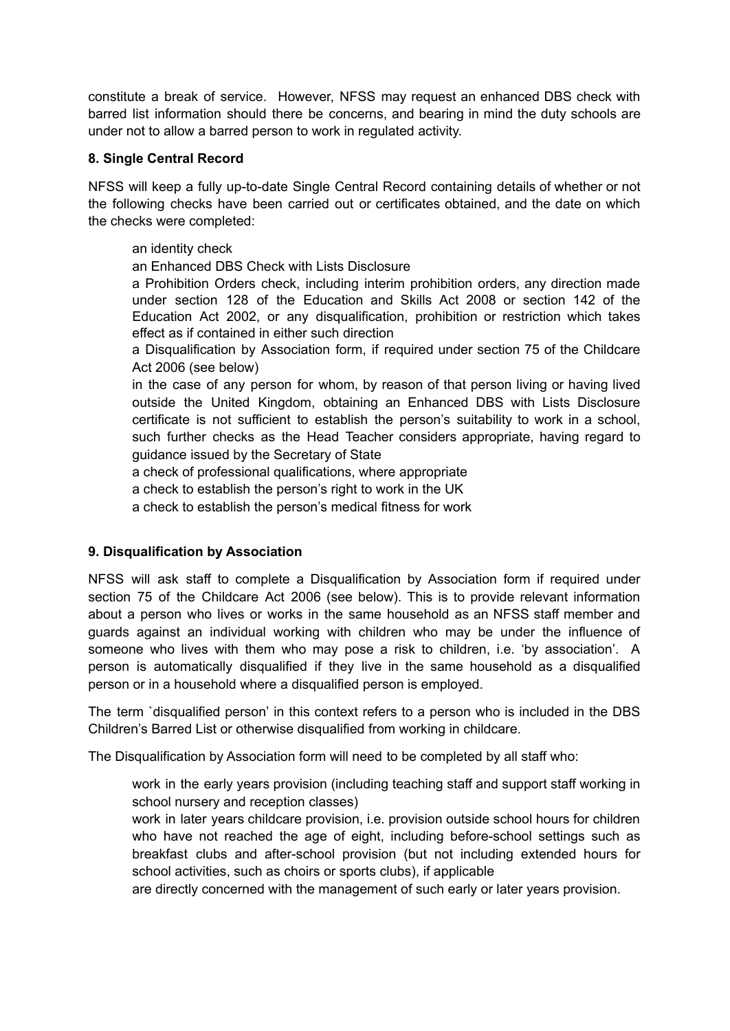constitute a break of service. However, NFSS may request an enhanced DBS check with barred list information should there be concerns, and bearing in mind the duty schools are under not to allow a barred person to work in regulated activity.

# **8. Single Central Record**

NFSS will keep a fully up-to-date Single Central Record containing details of whether or not the following checks have been carried out or certificates obtained, and the date on which the checks were completed:

# an identity check

an Enhanced DBS Check with Lists Disclosure

a Prohibition Orders check, including interim prohibition orders, any direction made under section 128 of the Education and Skills Act 2008 or section 142 of the Education Act 2002, or any disqualification, prohibition or restriction which takes effect as if contained in either such direction

a Disqualification by Association form, if required under section 75 of the Childcare Act 2006 (see below)

in the case of any person for whom, by reason of that person living or having lived outside the United Kingdom, obtaining an Enhanced DBS with Lists Disclosure certificate is not sufficient to establish the person's suitability to work in a school, such further checks as the Head Teacher considers appropriate, having regard to guidance issued by the Secretary of State

a check of professional qualifications, where appropriate

a check to establish the person's right to work in the UK

a check to establish the person's medical fitness for work

# **9. Disqualification by Association**

NFSS will ask staff to complete a Disqualification by Association form if required under section 75 of the Childcare Act 2006 (see below). This is to provide relevant information about a person who lives or works in the same household as an NFSS staff member and guards against an individual working with children who may be under the influence of someone who lives with them who may pose a risk to children, i.e. 'by association'. A person is automatically disqualified if they live in the same household as a disqualified person or in a household where a disqualified person is employed.

The term `disqualified person' in this context refers to a person who is included in the DBS Children's Barred List or otherwise disqualified from working in childcare.

The Disqualification by Association form will need to be completed by all staff who:

work in the early years provision (including teaching staff and support staff working in school nursery and reception classes)

work in later years childcare provision, i.e. provision outside school hours for children who have not reached the age of eight, including before-school settings such as breakfast clubs and after-school provision (but not including extended hours for school activities, such as choirs or sports clubs), if applicable

are directly concerned with the management of such early or later years provision.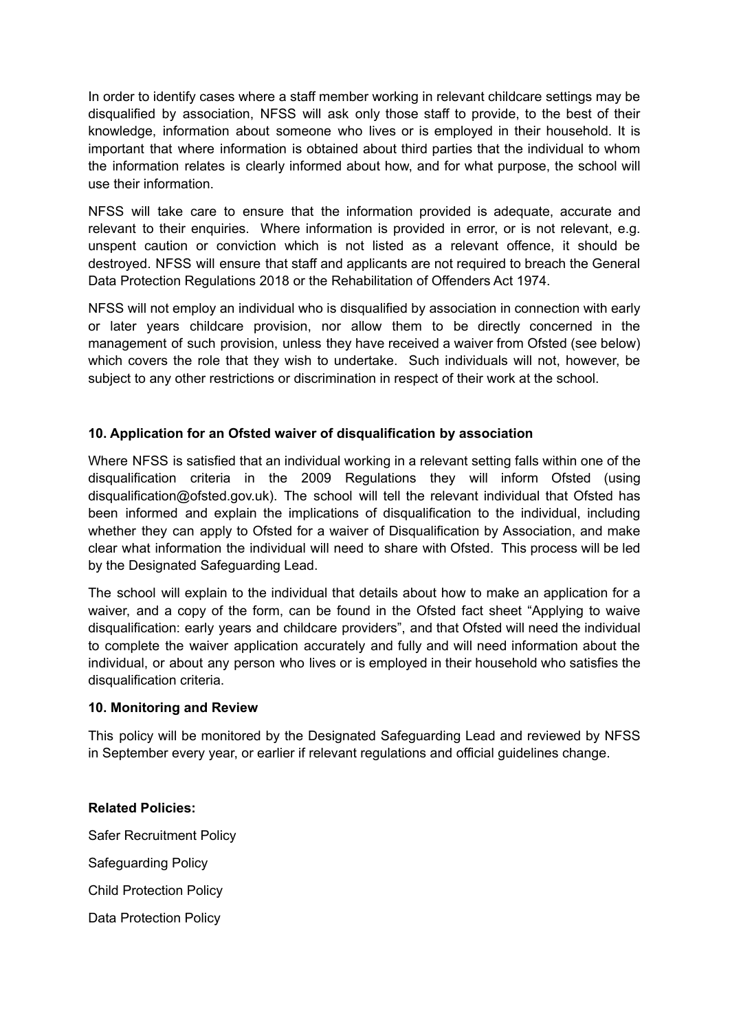In order to identify cases where a staff member working in relevant childcare settings may be disqualified by association, NFSS will ask only those staff to provide, to the best of their knowledge, information about someone who lives or is employed in their household. It is important that where information is obtained about third parties that the individual to whom the information relates is clearly informed about how, and for what purpose, the school will use their information.

NFSS will take care to ensure that the information provided is adequate, accurate and relevant to their enquiries. Where information is provided in error, or is not relevant, e.g. unspent caution or conviction which is not listed as a relevant offence, it should be destroyed. NFSS will ensure that staff and applicants are not required to breach the General Data Protection Regulations 2018 or the Rehabilitation of Offenders Act 1974.

NFSS will not employ an individual who is disqualified by association in connection with early or later years childcare provision, nor allow them to be directly concerned in the management of such provision, unless they have received a waiver from Ofsted (see below) which covers the role that they wish to undertake. Such individuals will not, however, be subject to any other restrictions or discrimination in respect of their work at the school.

# **10. Application for an Ofsted waiver of disqualification by association**

Where NFSS is satisfied that an individual working in a relevant setting falls within one of the disqualification criteria in the 2009 Regulations they will inform Ofsted (using disqualification@ofsted.gov.uk). The school will tell the relevant individual that Ofsted has been informed and explain the implications of disqualification to the individual, including whether they can apply to Ofsted for a waiver of Disqualification by Association, and make clear what information the individual will need to share with Ofsted. This process will be led by the Designated Safeguarding Lead.

The school will explain to the individual that details about how to make an application for a waiver, and a copy of the form, can be found in the Ofsted fact sheet "Applying to waive disqualification: early years and childcare providers", and that Ofsted will need the individual to complete the waiver application accurately and fully and will need information about the individual, or about any person who lives or is employed in their household who satisfies the disqualification criteria.

## **10. Monitoring and Review**

This policy will be monitored by the Designated Safeguarding Lead and reviewed by NFSS in September every year, or earlier if relevant regulations and official guidelines change.

## **Related Policies:**

Safer Recruitment Policy Safeguarding Policy Child Protection Policy Data Protection Policy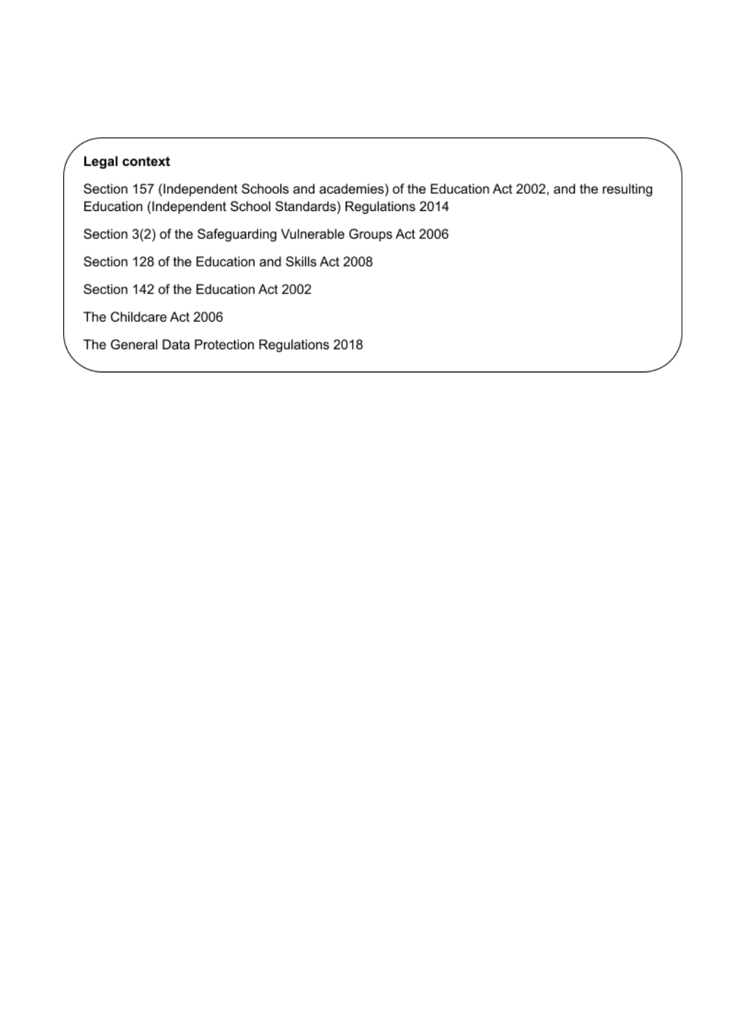# Legal context

Section 157 (Independent Schools and academies) of the Education Act 2002, and the resulting Education (Independent School Standards) Regulations 2014

Section 3(2) of the Safeguarding Vulnerable Groups Act 2006

Section 128 of the Education and Skills Act 2008

Section 142 of the Education Act 2002

The Childcare Act 2006

The General Data Protection Regulations 2018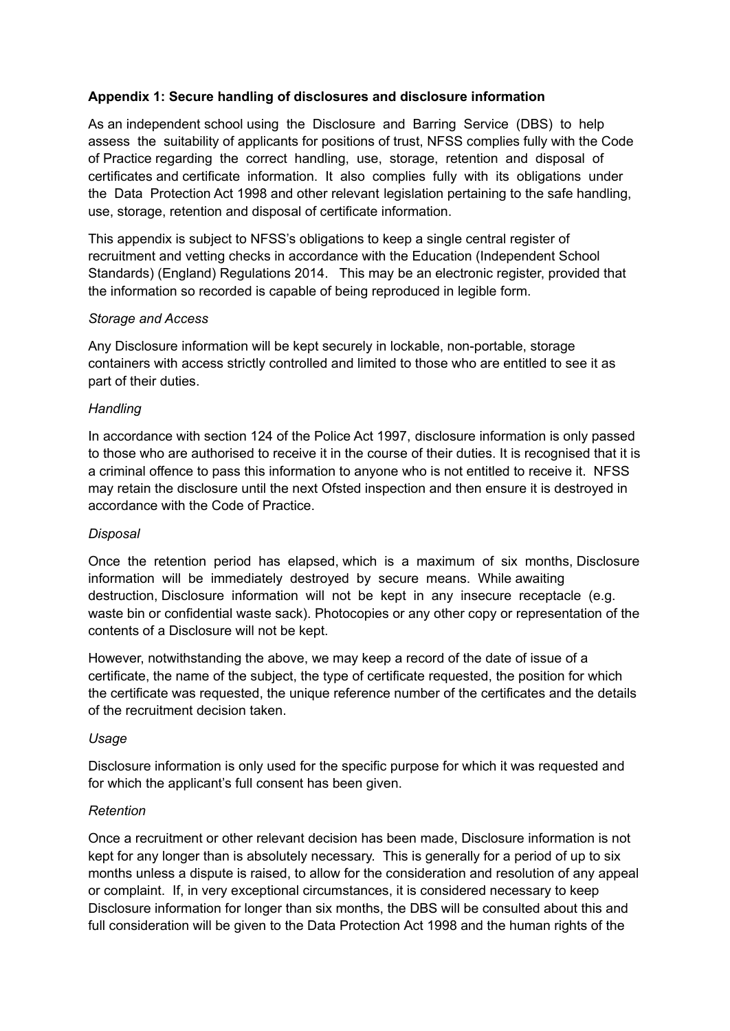# **Appendix 1: Secure handling of disclosures and disclosure information**

As an independent school using the Disclosure and Barring Service (DBS) to help assess the suitability of applicants for positions of trust, NFSS complies fully with the Code of Practice regarding the correct handling, use, storage, retention and disposal of certificates and certificate information. It also complies fully with its obligations under the Data Protection Act 1998 and other relevant legislation pertaining to the safe handling, use, storage, retention and disposal of certificate information.

This appendix is subject to NFSS's obligations to keep a single central register of recruitment and vetting checks in accordance with the Education (Independent School Standards) (England) Regulations 2014. This may be an electronic register, provided that the information so recorded is capable of being reproduced in legible form.

## *Storage and Access*

Any Disclosure information will be kept securely in lockable, non-portable, storage containers with access strictly controlled and limited to those who are entitled to see it as part of their duties.

## *Handling*

In accordance with section 124 of the Police Act 1997, disclosure information is only passed to those who are authorised to receive it in the course of their duties. It is recognised that it is a criminal offence to pass this information to anyone who is not entitled to receive it. NFSS may retain the disclosure until the next Ofsted inspection and then ensure it is destroyed in accordance with the Code of Practice.

#### *Disposal*

Once the retention period has elapsed, which is a maximum of six months, Disclosure information will be immediately destroyed by secure means. While awaiting destruction, Disclosure information will not be kept in any insecure receptacle (e.g. waste bin or confidential waste sack). Photocopies or any other copy or representation of the contents of a Disclosure will not be kept.

However, notwithstanding the above, we may keep a record of the date of issue of a certificate, the name of the subject, the type of certificate requested, the position for which the certificate was requested, the unique reference number of the certificates and the details of the recruitment decision taken.

#### *Usage*

Disclosure information is only used for the specific purpose for which it was requested and for which the applicant's full consent has been given.

#### *Retention*

Once a recruitment or other relevant decision has been made, Disclosure information is not kept for any longer than is absolutely necessary. This is generally for a period of up to six months unless a dispute is raised, to allow for the consideration and resolution of any appeal or complaint. If, in very exceptional circumstances, it is considered necessary to keep Disclosure information for longer than six months, the DBS will be consulted about this and full consideration will be given to the Data Protection Act 1998 and the human rights of the